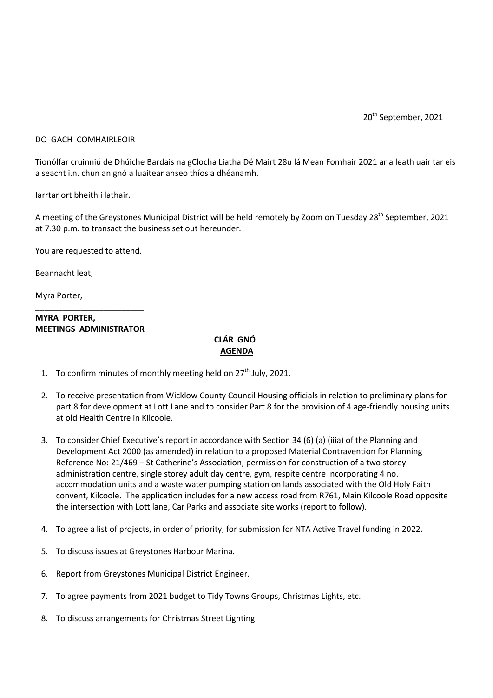20<sup>th</sup> September, 2021

## DO GACH COMHAIRLEOIR

Tionólfar cruinniú de Dhúiche Bardais na gClocha Liatha Dé Mairt 28u lá Mean Fomhair 2021 ar a leath uair tar eis a seacht i.n. chun an gnó a luaitear anseo thíos a dhéanamh.

Iarrtar ort bheith i lathair.

A meeting of the Greystones Municipal District will be held remotely by Zoom on Tuesday 28<sup>th</sup> September, 2021 at 7.30 p.m. to transact the business set out hereunder.

You are requested to attend.

Beannacht leat,

Myra Porter,

## \_\_\_\_\_\_\_\_\_\_\_\_\_\_\_\_\_\_\_\_\_\_\_\_ **MYRA PORTER, MEETINGS ADMINISTRATOR**

## **CLÁR GNÓ AGENDA**

- 1. To confirm minutes of monthly meeting held on  $27<sup>th</sup>$  July, 2021.
- 2. To receive presentation from Wicklow County Council Housing officials in relation to preliminary plans for part 8 for development at Lott Lane and to consider Part 8 for the provision of 4 age-friendly housing units at old Health Centre in Kilcoole.
- 3. To consider Chief Executive's report in accordance with Section 34 (6) (a) (iiia) of the Planning and Development Act 2000 (as amended) in relation to a proposed Material Contravention for Planning Reference No: 21/469 – St Catherine's Association, permission for construction of a two storey administration centre, single storey adult day centre, gym, respite centre incorporating 4 no. accommodation units and a waste water pumping station on lands associated with the Old Holy Faith convent, Kilcoole. The application includes for a new access road from R761, Main Kilcoole Road opposite the intersection with Lott lane, Car Parks and associate site works (report to follow).
- 4. To agree a list of projects, in order of priority, for submission for NTA Active Travel funding in 2022.
- 5. To discuss issues at Greystones Harbour Marina.
- 6. Report from Greystones Municipal District Engineer.
- 7. To agree payments from 2021 budget to Tidy Towns Groups, Christmas Lights, etc.
- 8. To discuss arrangements for Christmas Street Lighting.